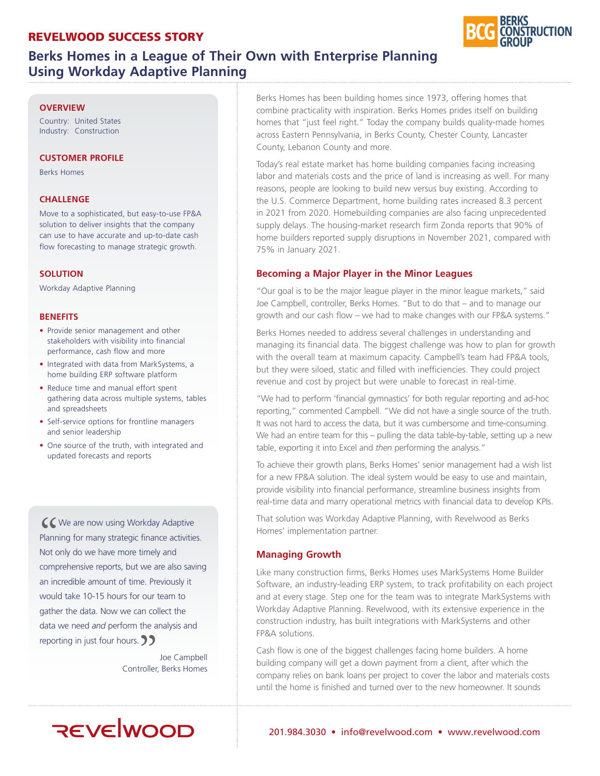# REVELWOOD SUCCESS STORY



# **Berks Homes in a League of Their Own with Enterprise Planning Using Workday Adaptive Planning**

#### **OVERVIEW**

Country: United States Industry: Construction

#### **CUSTOMER PROFILE**

Berks Homes

#### **CHALLENGE**

Move to a sophisticated, but easy-to-use FP&A solution to deliver insights that the company can use to have accurate and up-to-date cash flow forecasting to manage strategic growth.

#### **SOLUTION**

Workday Adaptive Planning

#### **BENEFITS**

- Provide senior management and other stakeholders with visibility into financial performance, cash flow and more
- Integrated with data from MarkSystems, a home building ERP software platform
- Reduce time and manual effort spent gathering data across multiple systems, tables and spreadsheets
- Self-service options for frontline managers and senior leadership
- One source of the truth, with integrated and updated forecasts and reports

CC We are now using Workday Adaptive<br>Planning for many strategic finance activitie<br>Not only do we have more timely and Planning for many strategic finance activities. Not only do we have more timely and comprehensive reports, but we are also saving an incredible amount of time. Previously it would take 10-15 hours for our team to gather the data. Now we can collect the data we need *and* perform the analysis and reporting in just four hours.  $\sum$ 

> Joe Campbell Controller, Berks Homes

Berks Homes has been building homes since 1973, offering homes that combine practicality with inspiration. Berks Homes prides itself on building homes that "just feel right." Today the company builds quality-made homes across Eastern Pennsylvania, in Berks County, Chester County, Lancaster County, Lebanon County and more.

Today's real estate market has home building companies facing increasing labor and materials costs and the price of land is increasing as well. For many reasons, people are looking to build new versus buy existing. According to the U.S. Commerce Department, home building rates increased 8.3 percent in 2021 from 2020. Homebuilding companies are also facing unprecedented supply delays. The housing-market research firm Zonda reports that 90% of home builders reported supply disruptions in November 2021, compared with 75% in January 2021.

#### **Becoming a Major Player in the Minor Leagues**

"Our goal is to be the major league player in the minor league markets," said Joe Campbell, controller, Berks Homes. "But to do that – and to manage our growth and our cash flow – we had to make changes with our FP&A systems."

Berks Homes needed to address several challenges in understanding and managing its financial data. The biggest challenge was how to plan for growth with the overall team at maximum capacity. Campbell's team had FP&A tools, but they were siloed, static and filled with inefficiencies. They could project revenue and cost by project but were unable to forecast in real-time.

"We had to perform 'financial gymnastics' for both regular reporting and ad-hoc reporting," commented Campbell. "We did not have a single source of the truth. It was not hard to access the data, but it was cumbersome and time-consuming. We had an entire team for this – pulling the data table-by-table, setting up a new table, exporting it into Excel and *then* performing the analysis."

To achieve their growth plans, Berks Homes' senior management had a wish list for a new FP&A solution. The ideal system would be easy to use and maintain, provide visibility into financial performance, streamline business insights from real-time data and marry operational metrics with financial data to develop KPIs.

That solution was Workday Adaptive Planning, with Revelwood as Berks Homes' implementation partner.

#### **Managing Growth**

Like many construction firms, Berks Homes uses MarkSystems Home Builder Software, an industry-leading ERP system, to track profitability on each project and at every stage. Step one for the team was to integrate MarkSystems with Workday Adaptive Planning. Revelwood, with its extensive experience in the construction industry, has built integrations with MarkSystems and other FP&A solutions.

Cash flow is one of the biggest challenges facing home builders. A home building company will get a down payment from a client, after which the company relies on bank loans per project to cover the labor and materials costs until the home is finished and turned over to the new homeowner. It sounds

# REVEWOOD